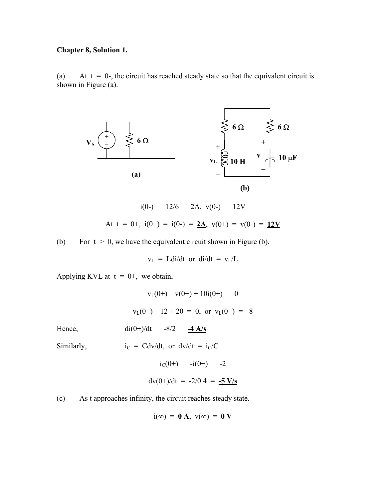## **Chapter 8, Solution 1.**

(a) At  $t = 0$ -, the circuit has reached steady state so that the equivalent circuit is shown in Figure (a).



$$
i(0-) = 12/6 = 2A, v(0-) = 12V
$$
  
At t = 0+, i(0+) = i(0-) = 2A, v(0+) = v(0-) = 12V

(b) For  $t > 0$ , we have the equivalent circuit shown in Figure (b).

 $v_L$  = Ldi/dt or di/dt =  $v_L/L$ 

Applying KVL at  $t = 0^+$ , we obtain,

Hence,

$$
v_L(0+) - v(0+) + 10i(0+) = 0
$$
  

$$
v_L(0+) - 12 + 20 = 0, \text{ or } v_L(0+) = -8
$$
  

$$
di(0+) / dt = -8/2 = -4 A/s
$$

Similarly,  $i_C = Cdv/dt$ , or  $dv/dt = i_C/C$ 

$$
i_{C}(0+) = -i(0+) = -2
$$
  
dv(0+) / dt = -2/0.4 = -5 V/s

(c) As t approaches infinity, the circuit reaches steady state.

$$
i(\infty) = \underline{0 A}, \ v(\infty) = \underline{0 V}
$$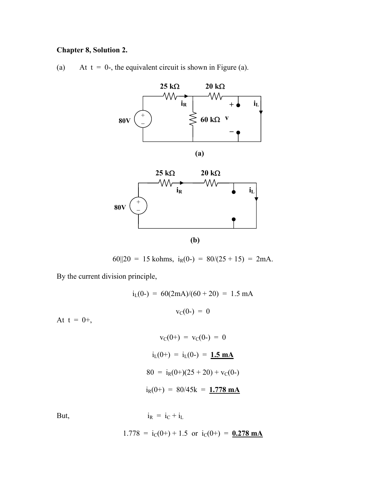## **Chapter 8, Solution 2.**

(a) At  $t = 0$ -, the equivalent circuit is shown in Figure (a).



60||20 = 15 kohms,  $i_R(0) = 80/(25 + 15) = 2mA$ .

By the current division principle,

 $i_L(0-) = 60(2mA)/(60+20) = 1.5 mA$  $v_C(0-) = 0$  $v_C(0+) = v_C(0-) = 0$ 

$$
i_{L}(0+) = i_{L}(0-) = 1.5 \text{ mA}
$$
  
80 =  $i_{R}(0+)(25+20) + v_{C}(0-)$   

$$
i_{R}(0+) = 80/45k = 1.778 \text{ mA}
$$

At  $t = 0+,$ 

But,  $i_R = i_C + i_L$ 

 $1.778 = i_C(0+) + 1.5$  or  $i_C(0+) = 0.278$  mA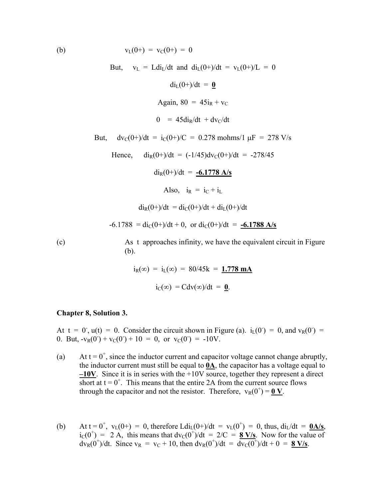(b)  $v_L(0+) = v_C(0+) = 0$ 

But,  $v_L = Ldi_L/dt$  and  $di_L(0+)/dt = v_L(0+)/L = 0$ 

 $di_L(0+)/dt = 0$ Again,  $80 = 45i_R + v_C$  $0 = 45 \text{di}_R/\text{dt} + \text{dv}_C/\text{dt}$ But,  $dv_C(0+) / dt = i_C(0+) / C = 0.278$  mohms/1  $\mu$ F = 278 V/s Hence,  $di_R(0+) / dt = (-1/45)dv_C(0+) / dt = -278/45$  $di_R(0+) / dt = -6.1778 \text{ A/s}$ Also,  $i_R = i_C + i_L$  $di_R(0+) / dt = di_C(0+) / dt + di_L(0+) / dt$  $-6.1788 = \text{di}_{\text{C}}(0+) / \text{dt} + 0$ , or  $\text{di}_{\text{C}}(0+) / \text{dt} = -6.1788$  A/s (c) As t approaches infinity, we have the equivalent circuit in Figure (b).

> $i_R(\infty) = i_L(\infty) = 80/45k = 1.778 \text{ mA}$  $i_C(\infty) = Cdv(\infty)/dt = 0$ .

#### **Chapter 8, Solution 3.**

At t = 0,  $u(t) = 0$ . Consider the circuit shown in Figure (a).  $i_L(0^{\circ}) = 0$ , and  $v_R(0^{\circ}) = 0$ 0. But,  $-v_R(0) + v_C(0) + 10 = 0$ , or  $v_C(0) = -10V$ .

- (a) At  $t = 0^+$ , since the inductor current and capacitor voltage cannot change abruptly, the inductor current must still be equal to **0A**, the capacitor has a voltage equal to **–10V**. Since it is in series with the +10V source, together they represent a direct short at  $t = 0^+$ . This means that the entire 2A from the current source flows through the capacitor and not the resistor. Therefore,  $v_R(0^+) = \mathbf{0} \mathbf{V}$ .
- (b) At  $t = 0^+$ ,  $v_L(0^+) = 0$ , therefore  $Ldi_L(0^+) / dt = v_L(0^+) = 0$ , thus,  $di_L/dt = 0$ .  $i_C(0^+)$  = 2 A, this means that  $dv_C(0^+) / dt = 2/C = 8 V/s$ . Now for the value of  $dv_R(0^+)/dt$ . Since  $v_R = v_C + 10$ , then  $dv_R(0^+)/dt = \frac{dv_C(0^+)}{dt} + 0 = \frac{8 V/s}{s}$ .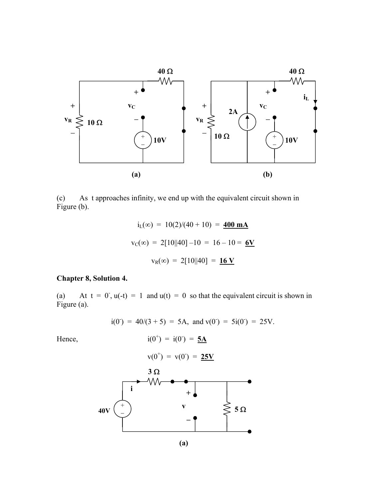

As t approaches infinity, we end up with the equivalent circuit shown in (c) As<br>Figure (b).

$$
i_{L}(\infty) = 10(2)/(40 + 10) = 400 \text{ mA}
$$
  

$$
v_{C}(\infty) = 2[10||40] - 10 = 16 - 10 = 6V
$$
  

$$
v_{R}(\infty) = 2[10||40] = 16 V
$$

## **Chapter 8, Solution 4.**

(a) At  $t = 0$ ,  $u(-t) = 1$  and  $u(t) = 0$  so that the equivalent circuit is shown in Figure (a).

$$
i(0^{\circ}) = 40/(3 + 5) = 5A
$$
, and  $v(0^{\circ}) = 5i(0^{\circ}) = 25V$ .

Hence,  
\n
$$
i(0^{+}) = i(0^{-}) = \frac{5A}{25V}
$$
\n
$$
3 \Omega
$$
\n
$$
40V
$$
\n
$$
40V
$$
\n
$$
i \qquad V
$$
\n
$$
40V
$$
\n
$$
i \qquad V
$$
\n
$$
V
$$
\n
$$
i \qquad V
$$
\n
$$
i \qquad V
$$
\n
$$
i \qquad V
$$
\n
$$
i \qquad V
$$
\n
$$
i \qquad V
$$
\n
$$
i \qquad V
$$
\n
$$
i \qquad V
$$
\n
$$
i \qquad V
$$
\n
$$
i \qquad V
$$
\n
$$
i \qquad V
$$
\n
$$
i \qquad V
$$
\n
$$
i \qquad V
$$
\n
$$
i \qquad V
$$
\n
$$
i \qquad V
$$
\n
$$
i \qquad V
$$
\n
$$
i \qquad V
$$
\n
$$
i \qquad V
$$
\n
$$
i \qquad V
$$
\n
$$
i \qquad V
$$
\n
$$
i \qquad V
$$
\n
$$
i \qquad V
$$
\n
$$
i \qquad V
$$
\n
$$
i \qquad V
$$
\n
$$
i \qquad V
$$
\n
$$
i \qquad V
$$
\n
$$
i \qquad V
$$
\n
$$
i \qquad V
$$
\n
$$
i \qquad V
$$
\n
$$
i \qquad V
$$
\n
$$
i \qquad V
$$
\n
$$
i \qquad V
$$
\n
$$
i \qquad V
$$
\n
$$
i \qquad V
$$
\n
$$
i \qquad V
$$
\n
$$
i \qquad V
$$
\n
$$
i \qquad V
$$
\n
$$
i \qquad V
$$
\n
$$
i \qquad V
$$
\n
$$
i \qquad V
$$
\n
$$
i \qquad V
$$
\n
$$
i \qquad V
$$
\n
$$
i \qquad V
$$
\n<math display="</p>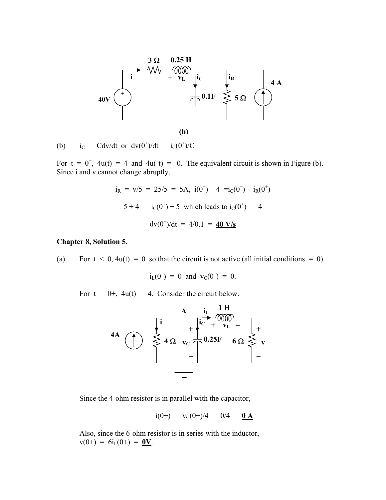

(b)  $i_C = Cdv/dt$  or  $dv(0^+)/dt = i_C(0^+)/C$ 

For  $t = 0^+$ ,  $4u(t) = 4$  and  $4u(-t) = 0$ . The equivalent circuit is shown in Figure (b). Since i and v cannot change abruptly,

$$
i_R = v/5 = 25/5 = 5A
$$
,  $i(0^+) + 4 = i_C(0^+) + i_R(0^+)$   
 $5 + 4 = i_C(0^+) + 5$  which leads to  $i_C(0^+) = 4$   
 $dv(0^+) / dt = 4/0.1 = 40$  V/s

#### **Chapter 8, Solution 5.**

(a) For  $t < 0$ ,  $4u(t) = 0$  so that the circuit is not active (all initial conditions = 0).

$$
i_L(0-) = 0
$$
 and  $v_C(0-) = 0$ .

For  $t = 0$ +,  $4u(t) = 4$ . Consider the circuit below.



Since the 4-ohm resistor is in parallel with the capacitor,

$$
i(0+) = v_C(0+)/4 = 0/4 = 0.\underline{A}
$$

Also, since the 6-ohm resistor is in series with the inductor,  $v(0+) = 6i_L(0+) = 0V$ .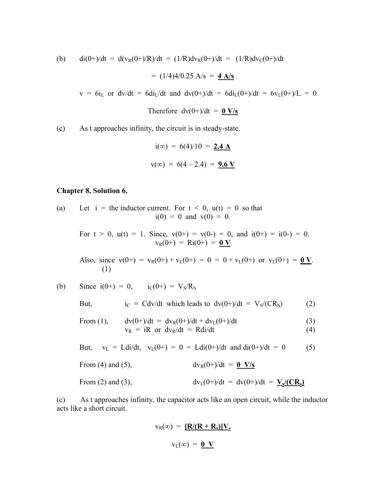(b) 
$$
di(0+) / dt = d(v_R(0+)/R) / dt = (1/R) dv_R(0+)/dt = (1/R) dv_C(0+)/dt
$$
  
= (1/4)4/0.25 A/s = 4 A/s

 $v = 6i_L$  or dv/dt = 6di<sub>L</sub>/dt and dv(0+)/dt = 6di<sub>L</sub>(0+)/dt = 6v<sub>L</sub>(0+)/L = 0

Therefore  $dv(0+)/dt = 0$  V/s

(c) As t approaches infinity, the circuit is in steady-state.

$$
i(\infty) = 6(4)/10 = 2.4 \text{ A}
$$
  

$$
v(\infty) = 6(4 - 2.4) = 9.6 \text{ V}
$$

#### **Chapter 8, Solution 6.**

(a) Let  $i =$  the inductor current. For  $t < 0$ ,  $u(t) = 0$  so that  $i(0) = 0$  and  $v(0) = 0$ .

> For  $t > 0$ ,  $u(t) = 1$ . Since,  $v(0+) = v(0-) = 0$ , and  $i(0+) = i(0-) = 0$ .  $v_R(0+) = Ri(0+) = 0 V$

Also, since  $v(0+) = v_R(0+) + v_L(0+) = 0 = 0 + v_L(0+)$  or  $v_L(0+) = 0$  V. (1)

(b) Since  $i(0+) = 0$ ,  $i_C(0+) = V_S/R_S$ 

But, 
$$
i_C = Cdv/dt
$$
 which leads to  $dv(0+)/dt = V_S/(CR_S)$  (2)

From (1), 
$$
dv(0+) / dt = dv_R(0+) / dt + dv_L(0+) / dt
$$
 (3)

$$
v_R = iR \text{ or } dv_R/dt = Rdi/dt \tag{4}
$$

But,  $v_L = Ldi/dt$ ,  $v_L(0+) = 0 = Ldi(0+) / dt$  and  $di(0+) / dt = 0$  (5)

From (4) and (5),  $dv_R(0+) / dt = 0$  V/s

From (2) and (3),  $dv_L(0+) / dt = dv(0) / dt = V_s / (CR_s)$ 

(c) As t approaches infinity, the capacitor acts like an open circuit, while the inductor acts like a short circuit.

$$
v_{R}(\infty) = \frac{[\mathbf{R}/(\mathbf{R} + \mathbf{R}_{s})]V_{s}}{V_{L}(\infty)} = \mathbf{0} \mathbf{V}
$$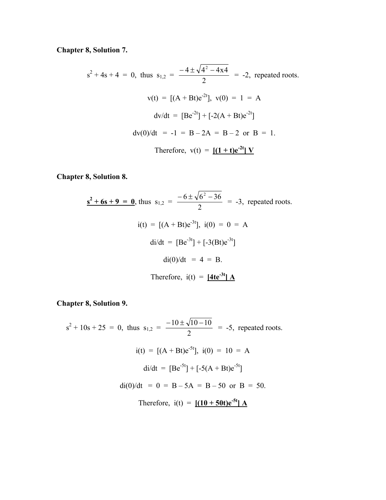**Chapter 8, Solution 7.** 

 $s^2 + 4s + 4 = 0$ , thus  $s_{1,2} =$ 2  $\frac{-4 \pm \sqrt{4^2 - 4x4}}{2}$  = -2, repeated roots.  $v(t) = [(A + Bt)e^{-2t}], v(0) = 1 = A$  $dv/dt = [Be^{-2t}] + [-2(A + Bt)e^{-2t}]$  $dv(0)/dt = -1 = B - 2A = B - 2$  or  $B = 1$ . Therefore,  $v(t) = [(1 + t)e^{-2t}]V$ 

**Chapter 8, Solution 8.** 

$$
\underline{\mathbf{s}^2 + 6\mathbf{s} + 9 = 0}, \text{ thus } s_{1,2} = \frac{-6 \pm \sqrt{6^2 - 36}}{2} = -3, \text{ repeated roots.}
$$
\n
$$
i(t) = [(A + Bt)e^{-3t}], \ i(0) = 0 = A
$$
\n
$$
di/dt = [Be^{-3t}] + [-3(Bt)e^{-3t}]
$$
\n
$$
di(0)/dt = 4 = B.
$$
\nTherefore,  $i(t) = [4te^{-3t}] A$ 

**Chapter 8, Solution 9.** 

 $s^2 + 10s + 25 = 0$ , thus  $s_{1,2}$  = 2  $\frac{-10 \pm \sqrt{10 - 10}}{2}$  = -5, repeated roots.  $i(t) = [(A + Bt)e^{-5t}], i(0) = 10 = A$  $di/dt = [Be^{-5t}] + [-5(A + Bt)e^{-5t}]$  $di(0)/dt = 0 = B - 5A = B - 50$  or  $B = 50$ . Therefore,  $i(t) = [(10 + 50t)e^{-5t}] A$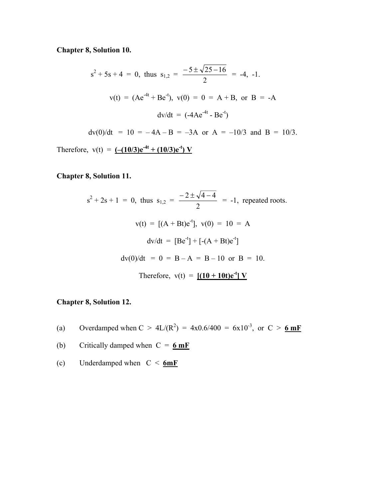**Chapter 8, Solution 10.** 

$$
s^{2} + 5s + 4 = 0, \text{ thus } s_{1,2} = \frac{-5 \pm \sqrt{25 - 16}}{2} = -4, -1.
$$
  

$$
v(t) = (Ae^{-4t} + Be^{-t}), \ v(0) = 0 = A + B, \text{ or } B = -A
$$
  

$$
dv/dt = (-4Ae^{-4t} - Be^{-t})
$$
  

$$
dv(0)/dt = 10 = -4A - B = -3A \text{ or } A = -10/3 \text{ and } B = 10/3.
$$
  
Therefore,  $v(t) = (-10/3)e^{-4t} + (10/3)e^{-t}) V$ 

## **Chapter 8, Solution 11.**

$$
s^{2} + 2s + 1 = 0, \text{ thus } s_{1,2} = \frac{-2 \pm \sqrt{4 - 4}}{2} = -1, \text{ repeated roots.}
$$
  

$$
v(t) = [(A + Bt)e^{-t}], v(0) = 10 = A
$$
  

$$
dv/dt = [Be^{-t}] + [-(A + Bt)e^{-t}]
$$
  

$$
dv(0)/dt = 0 = B - A = B - 10 \text{ or } B = 10.
$$
  
Therefore,  $v(t) = [(10 + 10t)e^{-t}] V$ 

## **Chapter 8, Solution 12.**

- (a) Overdamped when  $C > 4L/(R^2) = 4x0.6/400 = 6x10^{-3}$ , or  $C > 6mF$
- (b) Critically damped when  $C = 6$  mF
- (c) Underdamped when C < **6mF**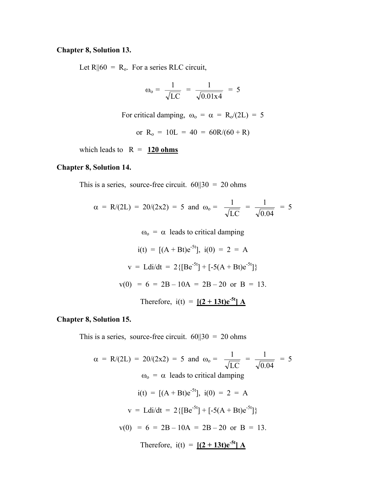#### **Chapter 8, Solution 13.**

Let  $R||60 = R_0$ . For a series RLC circuit,

$$
\omega_{o} = \frac{1}{\sqrt{LC}} = \frac{1}{\sqrt{0.01x4}} = 5
$$

For critical damping,  $\omega_0 = \alpha = R_0/(2L) = 5$ 

or  $R_o = 10L = 40 = 60R/(60 + R)$ 

which leads to  $R = 120 ohms$ 

### **Chapter 8, Solution 14.**

This is a series, source-free circuit.  $60||30 = 20$  ohms

$$
\alpha = R/(2L) = 20/(2x^2) = 5
$$
 and  $\omega_0 = \frac{1}{\sqrt{LC}} = \frac{1}{\sqrt{0.04}} = 5$ 

 $\omega_0 = \alpha$  leads to critical damping

$$
i(t) = [(A + Bt)e^{-5t}], i(0) = 2 = A
$$
  
\n
$$
v = Ldi/dt = 2{[Be^{-5t}] + [-5(A + Bt)e^{-5t}]}
$$
  
\n
$$
v(0) = 6 = 2B - 10A = 2B - 20 \text{ or } B = 13.
$$
  
\nTherefore,  $i(t) = [(2 + 13t)e^{-5t}] A$ 

#### **Chapter 8, Solution 15.**

This is a series, source-free circuit.  $60||30 = 20$  ohms

$$
\alpha = R/(2L) = 20/(2x^2) = 5 \text{ and } \omega_0 = \frac{1}{\sqrt{LC}} = \frac{1}{\sqrt{0.04}} = 5
$$
  
\n
$$
\omega_0 = \alpha \text{ leads to critical damping}
$$
  
\n
$$
i(t) = [(A + Bt)e^{-5t}], \ i(0) = 2 = A
$$
  
\n
$$
v = Ldi/dt = 2\{[Be^{-5t}] + [-5(A + Bt)e^{-5t}]\}
$$
  
\n
$$
v(0) = 6 = 2B - 10A = 2B - 20 \text{ or } B = 13.
$$
  
\nTherefore,  $i(t) = [(2 + 13t)e^{-5t}] A$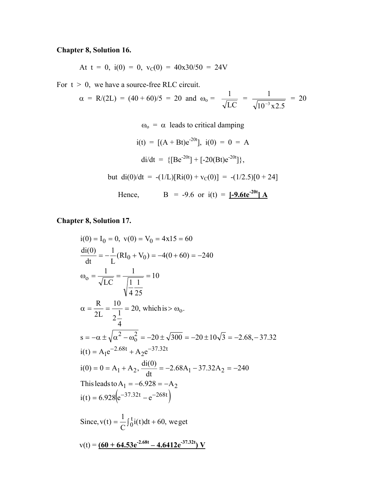# **Chapter 8, Solution 16.**

At 
$$
t = 0
$$
,  $i(0) = 0$ ,  $v_C(0) = 40x30/50 = 24V$ 

For  $t > 0$ , we have a source-free RLC circuit.

$$
\alpha = R/(2L) = (40 + 60)/5 = 20
$$
 and  $\omega_0 = \frac{1}{\sqrt{LC}} = \frac{1}{\sqrt{10^{-3} \times 2.5}} = 20$ 

 $\omega_0 = \alpha$  leads to critical damping

$$
i(t) = [(A + Bt)e^{-20t}], \ i(0) = 0 = A
$$
  
\n
$$
di/dt = \{[Be^{-20t}] + [-20(Bt)e^{-20t}]\},
$$
  
\nbut 
$$
di(0)/dt = -(1/L)[Ri(0) + v_C(0)] = -(1/2.5)[0 + 24]
$$
  
\nHence, 
$$
B = -9.6 \text{ or } i(t) = [-9.6te^{-20t}] \text{ A}
$$

**Chapter 8, Solution 17.** 

$$
i(0) = I_0 = 0, v(0) = V_0 = 4x15 = 60
$$
  
\n
$$
\frac{di(0)}{dt} = -\frac{1}{L}(RI_0 + V_0) = -4(0 + 60) = -240
$$
  
\n
$$
\omega_0 = \frac{1}{\sqrt{LC}} = \frac{1}{\sqrt{\frac{1}{4} \frac{1}{25}}} = 10
$$
  
\n
$$
\alpha = \frac{R}{2L} = \frac{10}{2\frac{1}{4}} = 20, \text{ which is } > \omega_0.
$$
  
\n
$$
s = -\alpha \pm \sqrt{\alpha^2 - \omega_0^2} = -20 \pm \sqrt{300} = -20 \pm 10\sqrt{3} = -2.68, -37.32
$$
  
\n
$$
i(t) = A_1 e^{-2.68t} + A_2 e^{-37.32t}
$$
  
\n
$$
i(0) = 0 = A_1 + A_2, \frac{di(0)}{dt} = -2.68A_1 - 37.32A_2 = -240
$$
  
\nThis leads to  $A_1 = -6.928 = -A_2$   
\n
$$
i(t) = 6.928(e^{-37.32t} - e^{-268t})
$$
  
\nSince,  $v(t) = \frac{1}{C} \int_0^t i(t) dt + 60$ , we get  
\n
$$
v(t) = \frac{(60 + 64.53e^{-2.68t} - 4.6412e^{-37.32t}) V}{V}
$$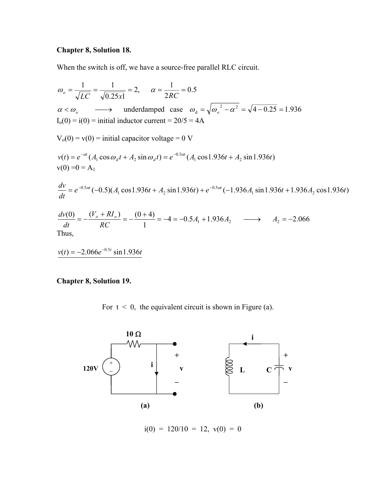## **Chapter 8, Solution 18.**

When the switch is off, we have a source-free parallel RLC circuit.

$$
\omega_o = \frac{1}{\sqrt{LC}} = \frac{1}{\sqrt{0.25x1}} = 2, \quad \alpha = \frac{1}{2RC} = 0.5
$$
  
\n $\alpha < \omega_o$  \longrightarrow underdamped case  $\omega_d = \sqrt{\omega_o^2 - \alpha^2} = \sqrt{4 - 0.25} = 1.936$   
\n $I_o(0) = i(0) = \text{initial inductor current} = 20/5 = 4\text{A}$   
\n $V_o(0) = v(0) = \text{initial capacitor voltage} = 0 \text{ V}$   
\n $v(t) = e^{-\alpha t} (A_1 \cos \omega_d t + A_2 \sin \omega_d t) = e^{-0.5\alpha t} (A_1 \cos 1.936t + A_2 \sin 1.936t)$   
\n $v(0) = 0 = A_1$   
\n $\frac{dv}{dt} = e^{-0.5\alpha t} (-0.5)(A_1 \cos 1.936t + A_2 \sin 1.936t) + e^{-0.5\alpha t} (-1.936A_1 \sin 1.936t + 1.936A_2 \cos 1.936t)$   
\n $\frac{dv(0)}{dt} = -\frac{(V_o + RI_o)}{RC} = -\frac{(0 + 4)}{1} = -4 = -0.5A_1 + 1.936A_2 \longrightarrow A_2 = -2.066$   
\nThus,

 $v(t) = -2.066 e^{-0.5t} \sin 1.936t$ 

**Chapter 8, Solution 19.** 

For  $t < 0$ , the equivalent circuit is shown in Figure (a).



 $i(0) = 120/10 = 12$ ,  $v(0) = 0$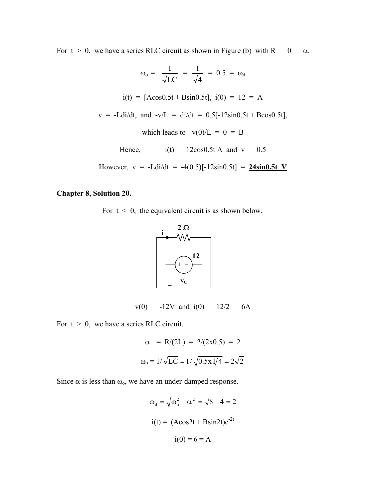For  $t > 0$ , we have a series RLC circuit as shown in Figure (b) with  $R = 0 = \alpha$ .

$$
\omega_0 = \frac{1}{\sqrt{LC}} = \frac{1}{\sqrt{4}} = 0.5 = \omega_d
$$
  
\n
$$
i(t) = [A\cos 0.5t + B\sin 0.5t], \ i(0) = 12 = A
$$
  
\n
$$
v = -Ldi/dt, \text{ and } -v/L = di/dt = 0.5[-12\sin 0.5t + B\cos 0.5t],
$$
  
\nwhich leads to  $-v(0)/L = 0 = B$   
\nHence,  $i(t) = 12\cos 0.5t A \text{ and } v = 0.5$   
\nHowever,  $v = -Ldi/dt = -4(0.5)[-12\sin 0.5t] = \frac{24\sin 0.5t V}{24\sin 0.5t}$ 

#### **Chapter 8, Solution 20.**

For  $t < 0$ , the equivalent circuit is as shown below.



 $v(0) = -12V$  and  $i(0) = 12/2 = 6A$ 

For  $t > 0$ , we have a series RLC circuit.

$$
\alpha = R/(2L) = 2/(2x0.5) = 2
$$

$$
\omega_0 = 1/\sqrt{LC} = 1/\sqrt{0.5x1/4} = 2\sqrt{2}
$$

Since  $\alpha$  is less than  $\omega_0$ , we have an under-damped response.

$$
\omega_d = \sqrt{\omega_o^2 - \alpha^2} = \sqrt{8 - 4} = 2
$$
  

$$
i(t) = (A\cos 2t + B\sin 2t)e^{-2t}
$$
  

$$
i(0) = 6 = A
$$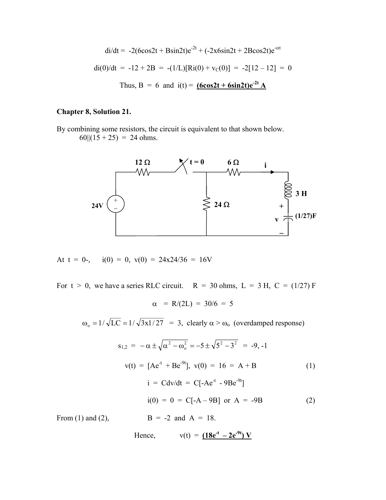$$
di/dt = -2(6\cos 2t + B\sin 2t)e^{-2t} + (-2x6\sin 2t + 2B\cos 2t)e^{-\alpha t}
$$
  
di(0)/dt = -12 + 2B = -(1/L)[Ri(0) + v<sub>C</sub>(0)] = -2[12 - 12] = 0  
Thus, B = 6 and i(t) = (6cos2t + 6sin2t)e^{-2t} A

### **Chapter 8, Solution 21.**

By combining some resistors, the circuit is equivalent to that shown below.  $60||(15 + 25) = 24 \text{ ohms.}$ 



At 
$$
t = 0
$$
-,  $i(0) = 0$ ,  $v(0) = 24x24/36 = 16V$ 

For  $t > 0$ , we have a series RLC circuit.  $R = 30$  ohms,  $L = 3$  H,  $C = (1/27)$  F

$$
\alpha = R/(2L) = 30/6 = 5
$$

 $\omega_0 = 1/\sqrt{LC} = 1/\sqrt{3x1/27} = 3$ , clearly  $\alpha > \omega_0$  (overdamped response)

$$
s_{1,2} = -\alpha \pm \sqrt{\alpha^2 - \omega_o^2} = -5 \pm \sqrt{5^2 - 3^2} = -9, -1
$$
  

$$
v(t) = [Ae^{-t} + Be^{-9t}], v(0) = 16 = A + B
$$
(1)  

$$
i = Cdv/dt = C[-Ae^{-t} - 9Be^{-9t}]
$$
  

$$
i(0) = 0 = C[-A - 9B] \text{ or } A = -9B
$$
(2)  
From (1) and (2),  

$$
B = -2 \text{ and } A = 18.
$$

Hence, 
$$
v(t) = (18e^{-t} - 2e^{-9t})V
$$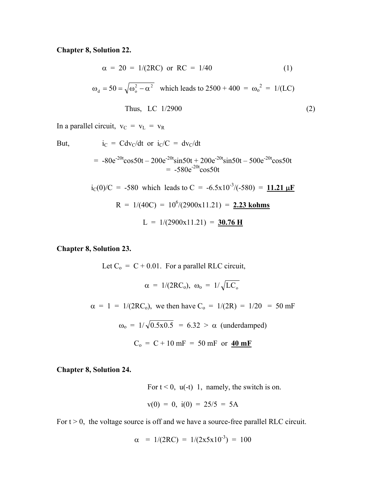**Chapter 8, Solution 22.** 

$$
\alpha = 20 = 1/(2RC) \text{ or } RC = 1/40
$$
 (1)  

$$
\omega_d = 50 = \sqrt{\omega_o^2 - \alpha^2} \text{ which leads to } 2500 + 400 = \omega_o^2 = 1/(LC)
$$
  
Thus, LC 1/2900 (2)

In a parallel circuit,  $v_C = v_L = v_R$ 

But, 
$$
i_C = Cdv_C/dt
$$
 or  $i_C/C = dv_C/dt$ 

$$
= -80e^{-20t}\cos 50t - 200e^{-20t}\sin 50t + 200e^{-20t}\sin 50t - 500e^{-20t}\cos 50t
$$
  
= -580e<sup>-20t</sup>cos50t

$$
i_C(0)/C
$$
 = -580 which leads to C = -6.5x10<sup>-3</sup>/(-580) = 11.21 µF  
R = 1/(40C) = 10<sup>6</sup>/(2900x11.21) = 2.23 **kohn**  
L = 1/(2900x11.21) = 30.76 H

#### **Chapter 8, Solution 23.**

Let  $C_0 = C + 0.01$ . For a parallel RLC circuit,  $\alpha = 1/(2RC_0)$ ,  $\omega_0 = 1/\sqrt{LC_0}$  $\alpha = 1 = 1/(2RC_0)$ , we then have  $C_0 = 1/(2R) = 1/20 = 50$  mF  $\omega_0 = 1/\sqrt{0.5x0.5} = 6.32 > \alpha$  (underdamped)  $C_o = C + 10$  mF = 50 mF or  $40$  mF

**Chapter 8, Solution 24.** 

For  $t < 0$ ,  $u(-t)$  1, namely, the switch is on.  $v(0) = 0$ ,  $i(0) = 25/5 = 5A$ 

For  $t > 0$ , the voltage source is off and we have a source-free parallel RLC circuit.

$$
\alpha = 1/(2RC) = 1/(2x5x10^{-3}) = 100
$$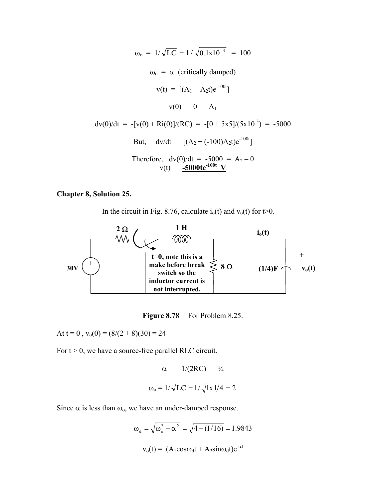$$
\omega_0 = 1/\sqrt{LC} = 1/\sqrt{0.1x10^{-3}} = 100
$$
  
\n
$$
\omega_0 = \alpha \text{ (critically damped)}
$$
  
\n
$$
v(t) = [(A_1 + A_2t)e^{-100t}]
$$
  
\n
$$
v(0) = 0 = A_1
$$
  
\n
$$
dv(0)/dt = -[v(0) + Ri(0)]/(RC) = -[0 + 5x5]/(5x10^{-3}) = -5000
$$
  
\nBut, 
$$
dv/dt = [(A_2 + (-100)A_2t)e^{-100t}]
$$
  
\nTherefore, 
$$
dv(0)/dt = -5000 = A_2 - 0
$$
  
\n
$$
v(t) = -5000te^{-100t} \text{ V}
$$

## **Chapter 8, Solution 25.**

In the circuit in Fig. 8.76, calculate  $i_0(t)$  and  $v_0(t)$  for  $t>0$ .



Figure 8.78 For Problem 8.25.

At  $t = 0^{\degree}$ ,  $v_0(0) = (8/(2 + 8)(30) = 24$ 

For  $t > 0$ , we have a source-free parallel RLC circuit.

$$
\alpha = 1/(2RC) = \frac{1}{4}
$$

$$
\omega_0 = 1/\sqrt{LC} = 1/\sqrt{1x \frac{1}{4}} = 2
$$

Since  $\alpha$  is less than  $\omega_0$ , we have an under-damped response.

$$
\omega_{d} = \sqrt{\omega_{o}^{2} - \alpha^{2}} = \sqrt{4 - (1/16)} = 1.9843
$$

$$
v_{o}(t) = (A_{1}cos\omega_{d}t + A_{2}sin\omega_{d}t)e^{-\alpha t}
$$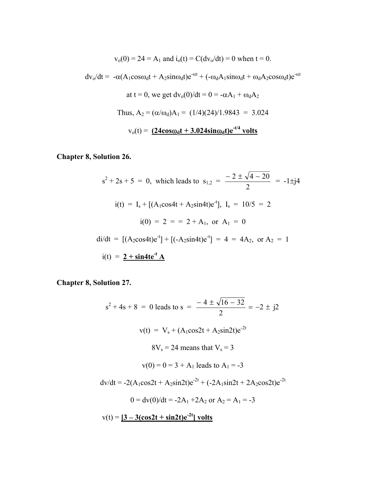$$
v_o(0) = 24 = A_1
$$
 and  $i_o(t) = C(dv_o/dt) = 0$  when  $t = 0$ .

 $dv_0/dt = -\alpha (A_1 cos \omega_d t + A_2 sin \omega_d t)e^{-\alpha t} + (-\omega_d A_1 sin \omega_d t + \omega_d A_2 cos \omega_d t)e^{-\alpha t}$ 

at t = 0, we get dv<sub>o</sub>(0)/dt = 0 = -
$$
\alpha
$$
A<sub>1</sub> +  $\omega_d$ A<sub>2</sub>  
\nThus, A<sub>2</sub> =  $(\alpha/\omega_d)A_1 = (1/4)(24)/1.9843 = 3.024$   
\nv<sub>o</sub>(t) = (24cos $\omega_d$ t + 3.024sin $\omega_d$ t)e<sup>-t/4</sup> volts

**Chapter 8, Solution 26.** 

$$
s^{2} + 2s + 5 = 0, \text{ which leads to } s_{1,2} = \frac{-2 \pm \sqrt{4 - 20}}{2} = -1 \pm j4
$$
  
\n
$$
i(t) = I_{s} + [(A_{1}cos4t + A_{2}sin4t)e^{t}], I_{s} = 10/5 = 2
$$
  
\n
$$
i(0) = 2 = 2 + A_{1}, \text{ or } A_{1} = 0
$$
  
\n
$$
di/dt = [(A_{2}cos4t)e^{t}] + [(-A_{2}sin4t)e^{t}] = 4 = 4A_{2}, \text{ or } A_{2} = 1
$$
  
\n
$$
i(t) = \frac{2 + sin4te^{t} A}{t}
$$

**Chapter 8, Solution 27.** 

 $s^{2} + 4s + 8 = 0$  leads to  $s = \frac{-4 \pm \sqrt{10 - 32}}{2} = -2 \pm i2$ 2  $\frac{-4 \pm \sqrt{16 - 32}}{2} = -2 \pm \frac{1}{2}$  $v(t) = V_s + (A_1 \cos 2t + A_2 \sin 2t)e^{-2t}$  $8V_s = 24$  means that  $V_s = 3$  $v(0) = 0 = 3 + A_1$  leads to  $A_1 = -3$  $dv/dt = -2(A_1cos2t + A_2sin2t)e^{-2t} + (-2A_1sin2t + 2A_2cos2t)e^{-2t}$  $0 = \frac{dv(0)}{dt} = -2A_1 + 2A_2$  or  $A_2 = A_1 = -3$  $v(t) = [3 - 3(\cos 2t + \sin 2t)e^{-2t}]$  volts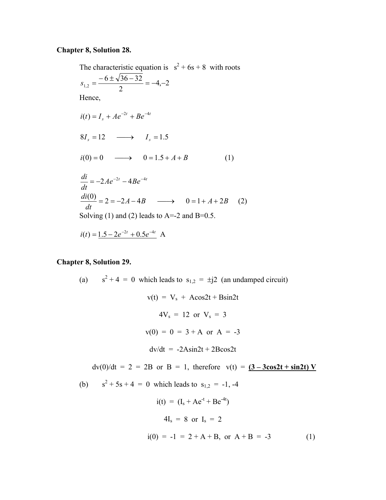#### **Chapter 8, Solution 28.**

The characteristic equation is  $s^2 + 6s + 8$  with roots  $4, -2$ 2  $s_{1,2} = \frac{-6 \pm \sqrt{36 - 32}}{2} = -4,$ Hence,  $i(t) = I_{c} + Ae^{-2t} + Be^{-4t}$  $8I_s = 12 \longrightarrow I_s = 1.5$  $i(0) = 0 \longrightarrow 0 = 1.5 + A + B$  (1)  $Ae^{-2t} - 4Be^{-4t}$ *dt*  $\frac{di}{1} = -2Ae^{-2t} - 4Be^{-4}$  $A-4B \longrightarrow 0=1+A+2B$ *dt di* <sup>2</sup> <sup>2</sup> <sup>4</sup> <sup>0</sup> <sup>1</sup> <sup>2</sup> (0) <sup>=</sup> <sup>=</sup> <sup>−</sup> <sup>−</sup> → <sup>=</sup> <sup>+</sup> <sup>+</sup> (2) Solving (1) and (2) leads to  $A=-2$  and  $B=0.5$ .  $i(t) = 1.5 - 2e^{-2t} + 0.5e^{-4t}$  A

#### **Chapter 8, Solution 29.**

(a)  $s^2 + 4 = 0$  which leads to  $s_{1,2} = \pm j2$  (an undamped circuit)  $v(t) = V_s + A\cos 2t + B\sin 2t$  $4V_s = 12$  or  $V_s = 3$  $v(0) = 0 = 3 + A$  or  $A = -3$  $dv/dt = -2Asin2t + 2Bcos2t$  $dv(0)/dt = 2 = 2B$  or  $B = 1$ , therefore  $v(t) = (3 - 3\cos 2t + \sin 2t) V$ (b)  $s^2 + 5s + 4 = 0$  which leads to  $s_{1,2} = -1, -4$  $i(t) = (I_s + Ae^{-t} + Be^{-4t})$  $4I_s = 8$  or  $I_s = 2$  $i(0) = -1 = 2 + A + B$ , or  $A + B = -3$  (1)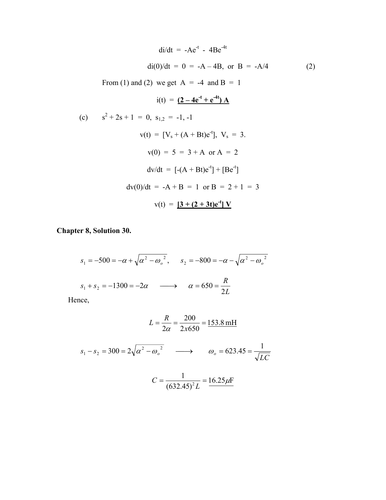$$
di/dt = -Ae^{-t} - 4Be^{-4t}
$$
  
\n
$$
di(0)/dt = 0 = -A - 4B, \text{ or } B = -A/4
$$
  
\nFrom (1) and (2) we get A = -4 and B = 1  
\n
$$
i(t) = (2 - 4e^{-t} + e^{-4t})A
$$
  
\n(c) 
$$
s^2 + 2s + 1 = 0, s_{1,2} = -1, -1
$$
  
\n
$$
v(t) = [V_s + (A + Bt)e^{-t}], V_s = 3.
$$
  
\n
$$
v(0) = 5 = 3 + A \text{ or } A = 2
$$
  
\n
$$
dv/dt = [-(A + Bt)e^{-t}] + [Be^{-t}]
$$
  
\n
$$
dv(0)/dt = -A + B = 1 \text{ or } B = 2 + 1 = 3
$$
  
\n
$$
v(t) = [3 + (2 + 3t)e^{-t}]V
$$

**Chapter 8, Solution 30.**

2  $\omega^2$ 2  $s_1 = -500 = -\alpha + \sqrt{{\alpha^2} - {\omega_o}^2}$ ,  $s_2 = -800 = -\alpha - \sqrt{{\alpha^2} - {\omega_o}^2}$ *L*  $s_1 + s_2 = -1300 = -2\alpha \longrightarrow \alpha = 650 = \frac{R}{2R}$ 

Hence,

$$
L = \frac{R}{2\alpha} = \frac{200}{2x650} = 153.8 \text{ mH}
$$
  

$$
s_1 - s_2 = 300 = 2\sqrt{\alpha^2 - {\omega_o}^2} \longrightarrow {\omega_o = 623.45} = \frac{1}{\sqrt{LC}}
$$
  

$$
C = \frac{1}{(632.45)^2 L} = 16.25 \mu\text{F}
$$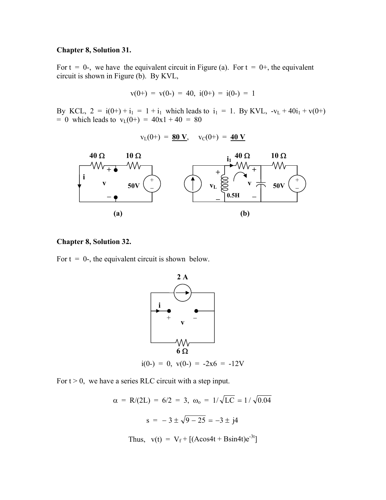#### **Chapter 8, Solution 31.**

For  $t = 0$ -, we have the equivalent circuit in Figure (a). For  $t = 0$ +, the equivalent circuit is shown in Figure (b). By KVL,

$$
v(0+) = v(0-) = 40, i(0+) = i(0-) = 1
$$

By KCL,  $2 = i(0+) + i_1 = 1 + i_1$  which leads to  $i_1 = 1$ . By KVL,  $-v_L + 40i_1 + v(0+)$  $= 0$  which leads to  $v_L(0+) = 40x1 + 40 = 80$ 

$$
v_{L}(0+) = 80 V, \quad v_{C}(0+) = 40 V
$$



#### **Chapter 8, Solution 32.**

For  $t = 0$ -, the equivalent circuit is shown below.



For  $t > 0$ , we have a series RLC circuit with a step input.

 $\alpha = R/(2L) = 6/2 = 3$ ,  $\omega_0 = 1/\sqrt{LC} = 1/\sqrt{0.04}$  $s = -3 \pm \sqrt{9 - 25} = -3 \pm i4$ Thus,  $v(t) = V_f + [(A\cos 4t + B\sin 4t)e^{-3t}]$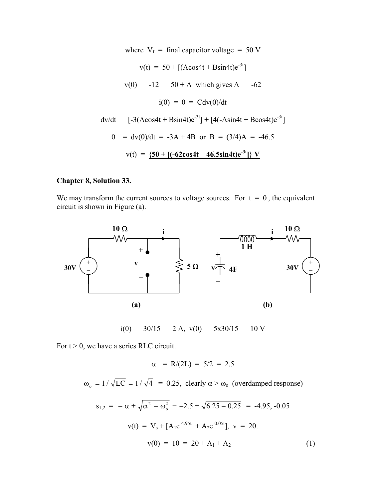where  $V_f$  = final capacitor voltage = 50 V  $v(t) = 50 + [(A\cos 4t + B\sin 4t)e^{-3t}]$  $v(0) = -12 = 50 + A$  which gives A = -62  $i(0) = 0 = Cdv(0)/dt$  $dv/dt = [-3(A\cos 4t + B\sin 4t)e^{-3t}] + [4(-A\sin 4t + B\cos 4t)e^{-3t}]$  $0 = dv(0)/dt = -3A + 4B$  or  $B = (3/4)A = -46.5$  $v(t) = \frac{50 + [(-62 \cos 4t - 46.5 \sin 4t)e^{-3t}]}{V}$ 

#### **Chapter 8, Solution 33.**

We may transform the current sources to voltage sources. For  $t = 0$ , the equivalent circuit is shown in Figure (a).



 $i(0) = 30/15 = 2$  A,  $v(0) = 5x30/15 = 10$  V

For  $t > 0$ , we have a series RLC circuit.

$$
\alpha = R/(2L) = 5/2 = 2.5
$$

 $\omega_0 = 1 / \sqrt{LC} = 1 / \sqrt{4} = 0.25$ , clearly  $\alpha > \omega_0$  (overdamped response)

$$
s_{1,2} = -\alpha \pm \sqrt{\alpha^2 - \omega_o^2} = -2.5 \pm \sqrt{6.25 - 0.25} = -4.95, -0.05
$$
  

$$
v(t) = V_s + [A_1 e^{-4.95t} + A_2 e^{-0.05t}], v = 20.
$$
  

$$
v(0) = 10 = 20 + A_1 + A_2
$$
 (1)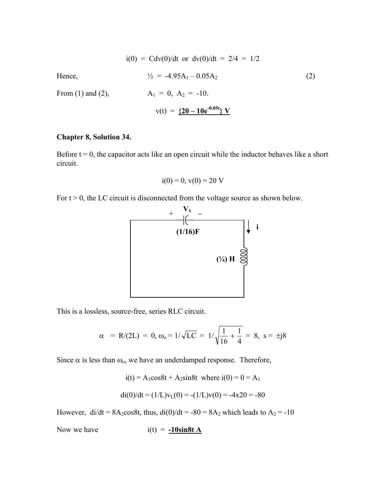$$
i(0) = \text{Cdv}(0)/dt \text{ or } \text{dv}(0)/dt = 2/4 = 1/2
$$
  
Hence,  

$$
\frac{1}{2} = -4.95A_1 - 0.05A_2
$$

$$
A_1 = 0, A_2 = -10.
$$

$$
v(t) = \frac{\{20 - 10e^{-0.05t}\} \text{ V}}{}
$$

#### **Chapter 8, Solution 34.**

Before  $t = 0$ , the capacitor acts like an open circuit while the inductor behaves like a short circuit.

$$
i(0) = 0, v(0) = 20 V
$$

For  $t > 0$ , the LC circuit is disconnected from the voltage source as shown below.



This is a lossless, source-free, series RLC circuit.

$$
\alpha = R/(2L) = 0, \omega_0 = 1/\sqrt{LC} = 1/\sqrt{\frac{1}{16} + \frac{1}{4}} = 8, s = \pm j8
$$

Since  $\alpha$  is less than  $\omega_0$ , we have an underdamped response. Therefore,

$$
i(t) = A_1 \cos 8t + A_2 \sin 8t
$$
 where  $i(0) = 0 = A_1$ 

$$
di(0)/dt = (1/L)vL(0) = -(1/L)v(0) = -4x20 = -80
$$

However,  $di/dt = 8A_2\cos 8t$ , thus,  $di(0)/dt = -80 = 8A_2$  which leads to  $A_2 = -10$ 

Now we have  $i(t) = -10\sin 8t A$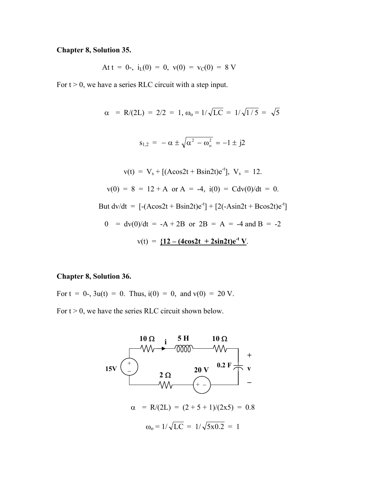## **Chapter 8, Solution 35.**

At t = 0-, 
$$
i_L(0) = 0
$$
,  $v(0) = v_C(0) = 8$  V

For  $t > 0$ , we have a series RLC circuit with a step input.

$$
\alpha = R/(2L) = 2/2 = 1, \omega_0 = 1/\sqrt{LC} = 1/\sqrt{1/5} = \sqrt{5}
$$
  
\n
$$
s_{1,2} = -\alpha \pm \sqrt{\alpha^2 - \omega_0^2} = -1 \pm j2
$$
  
\n
$$
v(t) = V_s + [(\text{Acos}2t + \text{Bsin}2t)e^{-t}], \quad V_s = 12.
$$
  
\n
$$
v(0) = 8 = 12 + A \text{ or } A = -4, \quad i(0) = Cdv(0)/dt = 0.
$$
  
\nBut  $dv/dt = [-(\text{Acos}2t + \text{Bsin}2t)e^{-t}] + [2(-\text{Asin}2t + \text{Bcos}2t)e^{-t}]$   
\n
$$
0 = dv(0)/dt = -A + 2B \text{ or } 2B = A = -4 \text{ and } B = -2
$$
  
\n
$$
v(t) = \frac{\{12 - (4\text{cos}2t + 2\text{sin}2t)e^{-t}V\}}{1 - 2\text{cos}2t}.
$$

### **Chapter 8, Solution 36.**

For  $t = 0$ -,  $3u(t) = 0$ . Thus,  $i(0) = 0$ , and  $v(0) = 20$  V. For  $t > 0$ , we have the series RLC circuit shown below.

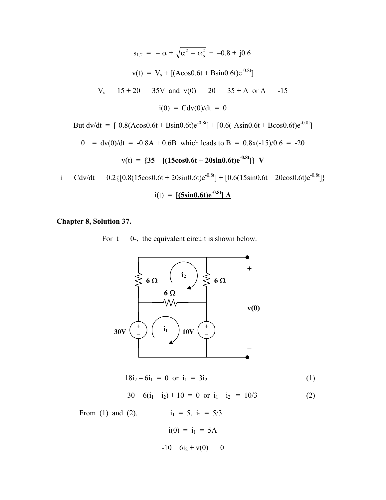$$
s_{1,2} = -\alpha \pm \sqrt{\alpha^2 - \omega_o^2} = -0.8 \pm j0.6
$$
  

$$
v(t) = V_s + [(A\cos 0.6t + B\sin 0.6t)e^{0.8t}]
$$
  

$$
V_s = 15 + 20 = 35V \text{ and } v(0) = 20 = 35 + A \text{ or } A = -15
$$
  

$$
i(0) = Cdv(0)/dt = 0
$$
  
But 
$$
dv/dt = [-0.8(A\cos 0.6t + B\sin 0.6t)e^{-0.8t}] + [0.6(-A\sin 0.6t + B\cos 0.6t)e^{-0.8t}]
$$

$$
0 = dv(0)/dt = -0.8A + 0.6B
$$
 which leads to B = 0.8x(-15)/0.6 = -20

$$
v(t) = \frac{35 - [(15\cos 0.6t + 20\sin 0.6t)e^{-0.8t}] \, V}{V}
$$

 $i = \text{Cdv/dt} = 0.2 \{ [0.8(15\cos 0.6t + 20\sin 0.6t)e^{-0.8t}] + [0.6(15\sin 0.6t - 20\cos 0.6t)e^{-0.8t}] \}$ 

$$
i(t) =
$$
 [ (5sin0.6t) e<sup>-0.8t</sup>] A

### **Chapter 8, Solution 37.**

For  $t = 0$ -, the equivalent circuit is shown below.



$$
18i_2 - 6i_1 = 0 \text{ or } i_1 = 3i_2 \tag{1}
$$

$$
-30 + 6(i_1 - i_2) + 10 = 0 \text{ or } i_1 - i_2 = 10/3 \tag{2}
$$

From (1) and (2).  $i_1 = 5$ ,  $i_2 = 5/3$ 

$$
i(0) = i_1 = 5A
$$
  
-10-6i<sub>2</sub> + v(0) = 0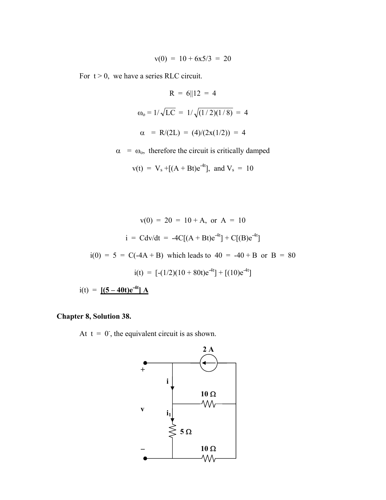$$
v(0) = 10 + 6x5/3 = 20
$$

For  $t > 0$ , we have a series RLC circuit.

$$
R = 6||12 = 4
$$
  

$$
\omega_0 = 1/\sqrt{LC} = 1/\sqrt{(1/2)(1/8)} = 4
$$
  

$$
\alpha = R/(2L) = (4)/(2x(1/2)) = 4
$$

 $\alpha = \omega_0$ , therefore the circuit is critically damped

$$
v(t) = V_s + [(A + Bt)e^{-4t}],
$$
 and  $V_s = 10$ 

$$
v(0) = 20 = 10 + A, \text{ or } A = 10
$$
  
\n
$$
i = Cdv/dt = -4C[(A + Bt)e^{-4t}] + C[(B)e^{-4t}]
$$
  
\n
$$
i(0) = 5 = C(-4A + B) \text{ which leads to } 40 = -40 + B \text{ or } B = 80
$$
  
\n
$$
i(t) = [-(1/2)(10 + 80t)e^{-4t}] + [(10)e^{-4t}]
$$

 $i(t) = [(5 - 40t)e^{-4t}] A$ 

## **Chapter 8, Solution 38.**

At  $t = 0$ , the equivalent circuit is as shown.

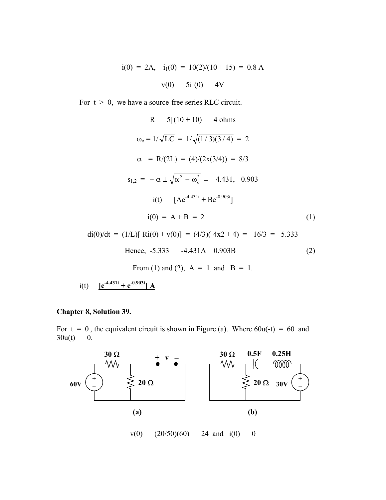$$
i(0) = 2A, \quad i_1(0) = 10(2)/(10 + 15) = 0.8 \text{ A}
$$
\n
$$
v(0) = 5i_1(0) = 4V
$$

For  $t > 0$ , we have a source-free series RLC circuit.

$$
R = 5||(10 + 10) = 4 \text{ ohms}
$$
  
\n
$$
\omega_0 = 1/\sqrt{LC} = 1/\sqrt{(1/3)(3/4)} = 2
$$
  
\n
$$
\alpha = R/(2L) = (4)/(2x(3/4)) = 8/3
$$
  
\n
$$
s_{1,2} = -\alpha \pm \sqrt{\alpha^2 - \omega_0^2} = -4.431, -0.903
$$
  
\n
$$
i(t) = [Ae^{-4.431t} + Be^{-0.903t}]
$$
  
\n
$$
i(0) = A + B = 2
$$
 (1)

$$
di(0)/dt = (1/L)[-Ri(0) + v(0)] = (4/3)(-4x^2 + 4) = -16/3 = -5.333
$$
  
Hence, -5.333 = -4.431A - 0.903B (2)

From (1) and (2),  $A = 1$  and  $B = 1$ .

 $i(t) = [e^{-4.431t} + e^{-0.903t}] A$ 

#### **Chapter 8, Solution 39.**

For  $t = 0$ , the equivalent circuit is shown in Figure (a). Where  $60u(-t) = 60$  and  $30u(t) = 0$ .



 $v(0) = (20/50)(60) = 24$  and  $i(0) = 0$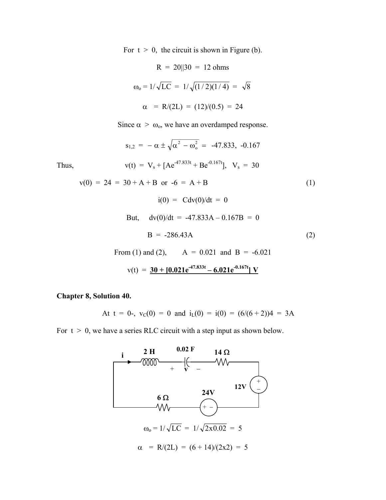For  $t > 0$ , the circuit is shown in Figure (b).

$$
R = 20||30 = 12 \text{ ohms}
$$
  

$$
\omega_0 = 1/\sqrt{LC} = 1/\sqrt{(1/2)(1/4)} = \sqrt{8}
$$
  

$$
\alpha = R/(2L) = (12)/(0.5) = 24
$$

Since  $\alpha > \omega_0$ , we have an overdamped response.

Thus,  
\n
$$
s_{1,2} = -\alpha \pm \sqrt{\alpha^2 - \omega_o^2} = -47.833, -0.167
$$
\nThus,  
\n
$$
v(t) = V_s + [Ae^{47.833t} + Be^{-0.167t}], V_s = 30
$$
\n
$$
v(0) = 24 = 30 + A + B \text{ or } -6 = A + B
$$
\n
$$
i(0) = Cdv(0)/dt = 0
$$
\nBut,  
\n
$$
dv(0)/dt = -47.833A - 0.167B = 0
$$
\n
$$
B = -286.43A
$$
\n(2)  
\nFrom (1) and (2),  $A = 0.021$  and  $B = -6.021$   
\n
$$
v(t) = \frac{30 + [0.021e^{47.833t} - 6.021e^{-0.167t}]V}{\sqrt{1 + 675t}}
$$

**Chapter 8, Solution 40.** 

At 
$$
t = 0
$$
-,  $v_C(0) = 0$  and  $i_L(0) = i(0) = (6/(6+2))4 = 3A$ 

For  $t > 0$ , we have a series RLC circuit with a step input as shown below.

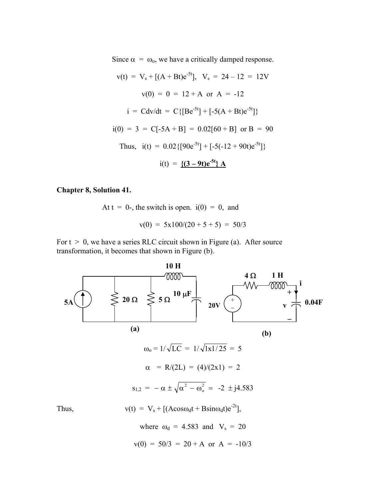Since  $\alpha = \omega_0$ , we have a critically damped response.

$$
v(t) = V_s + [(A + Bt)e^{-5t}], \quad V_s = 24 - 12 = 12V
$$

$$
v(0) = 0 = 12 + A \text{ or } A = -12
$$

$$
i = Cdv/dt = C\{[Be^{-5t}] + [-5(A + Bt)e^{-5t}]\}
$$

$$
i(0) = 3 = C[-5A + B] = 0.02[60 + B] \text{ or } B = 90
$$
Thus,  $i(t) = 0.02\{[90e^{-5t}] + [-5(-12 + 90t)e^{-5t}]\}$ 
$$
i(t) = \frac{\{(3 - 9t)e^{-5t}\} A}{2\pi}
$$

#### **Chapter 8, Solution 41.**

At  $t = 0$ -, the switch is open.  $i(0) = 0$ , and  $v(0) = 5x100/(20 + 5 + 5) = 50/3$ 

For  $t > 0$ , we have a series RLC circuit shown in Figure (a). After source transformation, it becomes that shown in Figure (b).

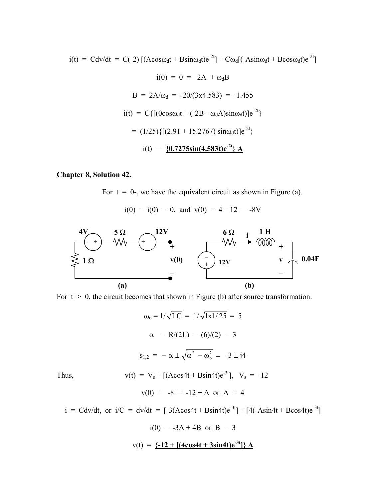$i(t) = Cdv/dt = C(-2) \left[ (Acos\omega_d t + Bsin\omega_d t)e^{-2t} \right] + C\omega_d [(-Asin\omega_d t + Bcos\omega_d t)e^{-2t}]$ 

$$
i(0) = 0 = -2A + \omega_d B
$$
  
\n
$$
B = 2A/\omega_d = -20/(3x4.583) = -1.455
$$
  
\n
$$
i(t) = C\{[(0\cos\omega_d t + (-2B - \omega_d A)\sin\omega_d t)]e^{-2t}\}
$$
  
\n
$$
= (1/25)\{[(2.91 + 15.2767)\sin\omega_d t)]e^{-2t}\}
$$
  
\n
$$
i(t) = \{\underline{0.7275\sin(4.583t)e^{-2t}}\}\text{ A}
$$

### **Chapter 8, Solution 42.**

For  $t = 0$ -, we have the equivalent circuit as shown in Figure (a).

 $i(0) = i(0) = 0$ , and  $v(0) = 4 - 12 = -8V$ 



For  $t > 0$ , the circuit becomes that shown in Figure (b) after source transformation.

$$
\omega_0 = 1/\sqrt{LC} = 1/\sqrt{1x1/25} = 5
$$
  
\n
$$
\alpha = R/(2L) = (6)/(2) = 3
$$
  
\n
$$
s_{1,2} = -\alpha \pm \sqrt{\alpha^2 - \omega_0^2} = -3 \pm j4
$$
  
\nThus,  
\n
$$
v(t) = V_s + [(\text{Acos4t} + \text{Bsin4t})e^{-3t}], \quad V_s = -12
$$
  
\n
$$
v(0) = -8 = -12 + A \text{ or } A = 4
$$

 $i = \text{Cdv/dt}$ , or  $i/C = \frac{dv}{dt} = [-3(A\cos 4t + B\sin 4t)e^{-3t}] + [4(-A\sin 4t + B\cos 4t)e^{-3t}]$ 

$$
i(0) = -3A + 4B \text{ or } B = 3
$$
  

$$
v(t) = \{-12 + [4\cos 4t + 3\sin 4t)e^{-3t}]\} A
$$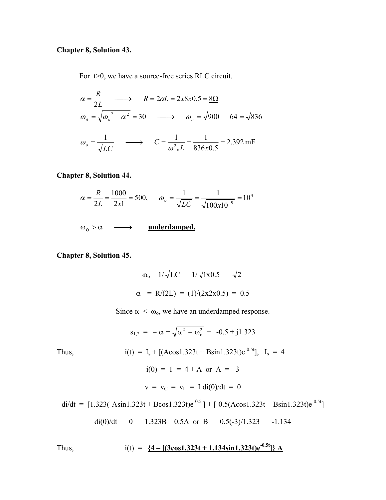## **Chapter 8, Solution 43.**

For  $t>0$ , we have a source-free series RLC circuit.

$$
\alpha = \frac{R}{2L} \longrightarrow R = 2\alpha L = 2x8x0.5 = \underline{8\Omega}
$$
  
\n
$$
\omega_a = \sqrt{\omega_o^2 - \alpha^2} = 30 \longrightarrow \omega_o = \sqrt{900 - 64} = \sqrt{836}
$$
  
\n
$$
\omega_o = \frac{1}{\sqrt{LC}} \longrightarrow C = \frac{1}{\omega^2 {}_o L} = \frac{1}{836x0.5} = \frac{2.392 \text{ mF}}{}
$$

**Chapter 8, Solution 44.** 

$$
\alpha = \frac{R}{2L} = \frac{1000}{2x1} = 500, \qquad \omega_o = \frac{1}{\sqrt{LC}} = \frac{1}{\sqrt{100x10^{-9}}} = 10^4
$$

 $\omega_0 > \alpha \longrightarrow$  **underdamped.** 

**Chapter 8, Solution 45.** 

$$
\omega_0 = 1/\sqrt{LC} = 1/\sqrt{1 \times 0.5} = \sqrt{2}
$$
  
\n $\alpha = R/(2L) = (1)/(2 \times 2 \times 0.5) = 0.5$ 

Since  $\alpha < \omega_0$ , we have an underdamped response.

Thus,  
\n
$$
s_{1,2} = -\alpha \pm \sqrt{\alpha^2 - \omega_o^2} = -0.5 \pm j1.323
$$
\n
$$
i(t) = I_s + [(\text{Acos}1.323t + \text{Bsin}1.323t)e^{-0.5t}], \quad I_s = 4
$$
\n
$$
i(0) = 1 = 4 + A \text{ or } A = -3
$$
\n
$$
v = v_C = v_L = \text{Ldi}(0)/dt = 0
$$

 $di/dt = [1.323(-Asin1.323t + Bcos1.323t)e^{-0.5t}] + [-0.5(Acos1.323t + Bsin1.323t)e^{-0.5t}]$ 

$$
di(0)/dt = 0 = 1.323B - 0.5A
$$
 or  $B = 0.5(-3)/1.323 = -1.134$ 

Thus, 
$$
i(t) = \frac{4 - [(3\cos 1.323t + 1.134\sin 1.323t)e^{-0.5t}]}{A}
$$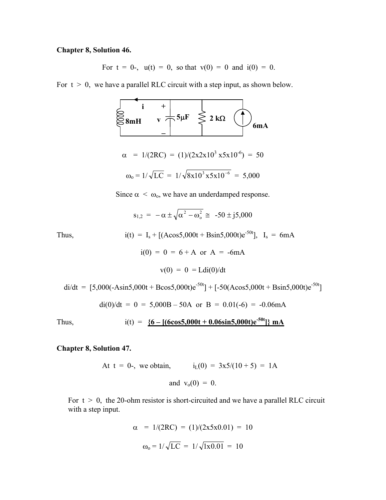### **Chapter 8, Solution 46.**

For  $t = 0$ -,  $u(t) = 0$ , so that  $v(0) = 0$  and  $i(0) = 0$ .

For  $t > 0$ , we have a parallel RLC circuit with a step input, as shown below.



Since  $\alpha < \omega_0$ , we have an underdamped response.

$$
s_{1,2} = -\alpha \pm \sqrt{\alpha^2 - \omega_o^2} \approx -50 \pm j5{,}000
$$

Thus,  
\n
$$
i(t) = I_s + [(A\cos 5,000t + B\sin 5,000t)e^{-50t}], I_s = 6mA
$$
  
\n $i(0) = 0 = 6 + A \text{ or } A = -6mA$   
\n $v(0) = 0 = Ldi(0)/dt$ 

$$
\text{di/dt} = [5,000(-\text{Asin5},000t + \text{Bcos5},000t)e^{-50t}] + [-50(\text{Acos5},000t + \text{Bsin5},000t)e^{-50t}]
$$
  

$$
\text{di}(0)/\text{dt} = 0 = 5,000B - 50A \text{ or } B = 0.01(-6) = -0.06 \text{mA}
$$

Thus, 
$$
i(t) = \frac{6 - [(6\cos 5, 000t + 0.06\sin 5, 000t)e^{-50t}]}{mA}
$$

**Chapter 8, Solution 47.** 

At 
$$
t = 0
$$
-, we obtain,  $i_L(0) = 3x5/(10+5) = 1A$   
and  $v_0(0) = 0$ .

For  $t > 0$ , the 20-ohm resistor is short-circuited and we have a parallel RLC circuit with a step input.

$$
\alpha = 1/(2RC) = (1)/(2x5x0.01) = 10
$$

$$
\omega_0 = 1/\sqrt{LC} = 1/\sqrt{1x0.01} = 10
$$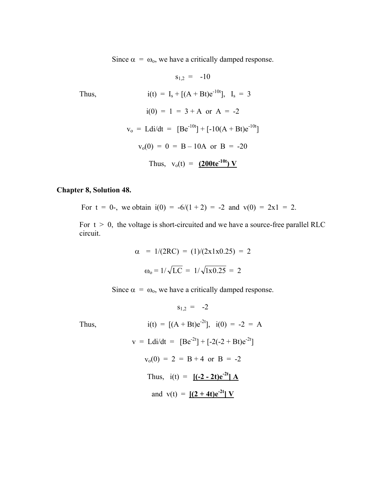Since  $\alpha = \omega_0$ , we have a critically damped response.

Thus,  
\n
$$
s_{1,2} = -10
$$
\nThus,  
\n
$$
i(t) = I_s + [(A + Bt)e^{-10t}], I_s = 3
$$
\n
$$
i(0) = 1 = 3 + A \text{ or } A = -2
$$
\n
$$
v_o = Ldi/dt = [Be^{-10t}] + [-10(A + Bt)e^{-10t}]
$$
\n
$$
v_o(0) = 0 = B - 10A \text{ or } B = -20
$$
\nThus,  $v_o(t) = (200te^{-10t}) V$ 

## **Chapter 8, Solution 48.**

For  $t = 0$ -, we obtain  $i(0) = -6/(1 + 2) = -2$  and  $v(0) = 2x1 = 2$ .

For  $t > 0$ , the voltage is short-circuited and we have a source-free parallel RLC circuit.

$$
\alpha = 1/(2RC) = (1)/(2x1x0.25) = 2
$$

$$
\omega_0 = 1/\sqrt{LC} = 1/\sqrt{1x0.25} = 2
$$

Since  $\alpha = \omega_0$ , we have a critically damped response.

$$
s_{1,2} = -2
$$

Thus,

$$
i(t) = [(A + Bt)e^{-2t}], \quad i(0) = -2 = A
$$
  
\n
$$
v = Ldi/dt = [Be^{-2t}] + [-2(-2 + Bt)e^{-2t}]
$$
  
\n
$$
v_0(0) = 2 = B + 4 \text{ or } B = -2
$$
  
\nThus,  $i(t) = [(-2 - 2t)e^{-2t}] A$   
\nand  $v(t) = [(2 + 4t)e^{-2t}] V$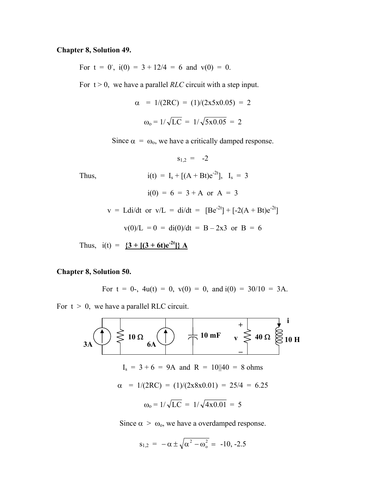### **Chapter 8, Solution 49.**

For  $t = 0$ ,  $i(0) = 3 + 12/4 = 6$  and  $v(0) = 0$ .

For  $t > 0$ , we have a parallel *RLC* circuit with a step input.

$$
\alpha = 1/(2RC) = (1)/(2x5x0.05) = 2
$$

$$
\omega_0 = 1/\sqrt{LC} = 1/\sqrt{5x0.05} = 2
$$

Since  $\alpha = \omega_0$ , we have a critically damped response.

 $s_{1,2} = -2$ 

Thus,  
\n
$$
i(t) = I_s + [(A + Bt)e^{-2t}], I_s = 3
$$
  
\n $i(0) = 6 = 3 + A \text{ or } A = 3$   
\n $v = Ldi/dt \text{ or } v/L = di/dt = [Be^{-2t}] + [-2(A + Bt)e^{-2t}]$   
\n $v(0)/L = 0 = di(0)/dt = B - 2x3 \text{ or } B = 6$ 

Thus,  $i(t) = \{3 + [(3 + 6t)e^{-2t}]\} A$ 

#### **Chapter 8, Solution 50.**

For 
$$
t = 0
$$
-,  $4u(t) = 0$ ,  $v(0) = 0$ , and  $i(0) = 30/10 = 3A$ .

For  $t > 0$ , we have a parallel RLC circuit.



Since  $\alpha > \omega_0$ , we have a overdamped response.

$$
s_{1,2} = -\alpha \pm \sqrt{\alpha^2 - \omega_o^2} = -10, -2.5
$$